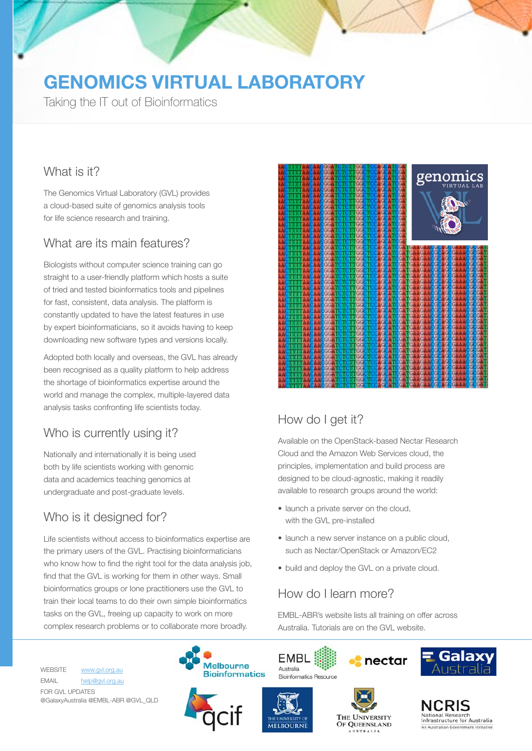# **GENOMICS VIRTUAL LABORATORY**

Taking the IT out of Bioinformatics

#### What is it?

The Genomics Virtual Laboratory (GVL) provides a cloud-based suite of genomics analysis tools for life science research and training.

### What are its main features?

Biologists without computer science training can go straight to a user-friendly platform which hosts a suite of tried and tested bioinformatics tools and pipelines for fast, consistent, data analysis. The platform is constantly updated to have the latest features in use by expert bioinformaticians, so it avoids having to keep downloading new software types and versions locally.

Adopted both locally and overseas, the GVL has already been recognised as a quality platform to help address the shortage of bioinformatics expertise around the world and manage the complex, multiple-layered data analysis tasks confronting life scientists today.

# Who is currently using it?

Nationally and internationally it is being used both by life scientists working with genomic data and academics teaching genomics at undergraduate and post-graduate levels.

## Who is it designed for?

Life scientists without access to bioinformatics expertise are the primary users of the GVL. Practising bioinformaticians who know how to find the right tool for the data analysis job, find that the GVL is working for them in other ways. Small bioinformatics groups or lone practitioners use the GVL to train their local teams to do their own simple bioinformatics tasks on the GVL, freeing up capacity to work on more complex research problems or to collaborate more broadly.



# How do I get it?

Available on the OpenStack-based Nectar Research Cloud and the Amazon Web Services cloud, the principles, implementation and build process are designed to be cloud-agnostic, making it readily available to research groups around the world:

- launch a private server on the cloud. with the GVL pre-installed
- launch a new server instance on a public cloud. such as Nectar/OpenStack or Amazon/EC2
- build and deploy the GVL on a private cloud.

### How do I learn more?

EMBL-ABR's website lists all training on offer across Australia. Tutorials are on the GVL website.

WEBSITE www.gvl.org.au EMAIL help@gvl.org.au FOR GVL UPDATES @GalaxyAustralia @EMBL-ABR @GVL\_QLD